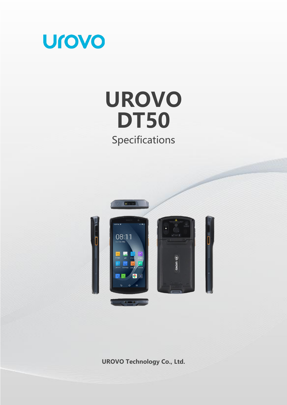

# **UROVO DT50** Specifications



**UROVO Technology Co., Ltd.**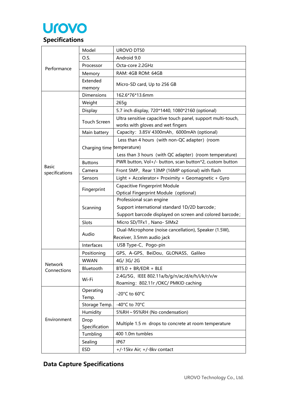

| Performance                    | Model                      | UROVO DT50                                                   |  |
|--------------------------------|----------------------------|--------------------------------------------------------------|--|
|                                | O.S.                       | Android 9.0                                                  |  |
|                                | Processor                  | Octa-core 2.2GHz                                             |  |
|                                | Memory                     | RAM: 4GB ROM: 64GB                                           |  |
|                                | Extended                   |                                                              |  |
|                                | memory                     | Micro-SD card, Up to 256 GB                                  |  |
|                                | <b>Dimensions</b>          | 162.6*76*13.6mm                                              |  |
|                                | Weight                     | 265q                                                         |  |
|                                | Display                    | 5.7 inch display, 720*1440, 1080*2160 (optional)             |  |
|                                | <b>Touch Screen</b>        | Ultra sensitive capacitive touch panel, support multi-touch, |  |
|                                |                            | works with gloves and wet fingers                            |  |
|                                | Main battery               | Capacity: 3.85V 4300mAh, 6000mAh (optional)                  |  |
|                                |                            | Less than 4 hours (with non-QC adapter) (room                |  |
|                                | Charging time temperature) |                                                              |  |
|                                |                            | Less than 3 hours (with QC adapter) (room temperature)       |  |
|                                | <b>Buttons</b>             | PWR button, Vol+/- button, scan button*2, custom button      |  |
| <b>Basic</b><br>specifications | Camera                     | Front 5MP, Rear 13MP (16MP optional) with flash              |  |
|                                | Sensors                    | Light + Accelerator+ Proximity + Geomagnetic + Gyro          |  |
|                                | Fingerprint                | Capacitive Fingerprint Module                                |  |
|                                |                            | Optical Fingerprint Module (optional)                        |  |
|                                | Scanning                   | Professional scan engine                                     |  |
|                                |                            | Support international standard 1D/2D barcode;                |  |
|                                |                            | Support barcode displayed on screen and colored barcode;     |  |
|                                | Slots                      | Micro SD/TFx1, Nano- SIMx2                                   |  |
|                                | Audio                      | Dual-Microphone (noise cancellation), Speaker (1.5W),        |  |
|                                |                            | Receiver, 3.5mm audio jack                                   |  |
|                                | Interfaces                 | USB Type-C、Pogo-pin                                          |  |
|                                | Positioning                | GPS、A-GPS、BeiDou、GLONASS、Galileo                             |  |
| Network                        | <b>WWAN</b>                | 4G/3G/2G                                                     |  |
| Connections                    | Bluetooth                  | $B$ T5.0 + BR/EDR + BLE                                      |  |
|                                | Wi-Fi                      | 2.4G/5G, IEEE 802.11a/b/g/n/ac/d/e/h/i/k/r/v/w               |  |
|                                |                            | Roaming: 802.11r /OKC/ PMKID caching                         |  |
|                                | Operating                  | -20°C to 60°C                                                |  |
|                                | Temp.                      |                                                              |  |
|                                | Storage Temp.              | -40°C to 70°C                                                |  |
| Environment                    | Humidity                   | 5%RH ~ 95%RH (No condensation)                               |  |
|                                | Drop                       |                                                              |  |
|                                | Specification              | Multiple 1.5 m drops to concrete at room temperature         |  |
|                                | Tumbling                   | 400 1.0m tumbles                                             |  |
|                                | Sealing                    | IP <sub>67</sub>                                             |  |
|                                | <b>ESD</b>                 | +/-15kv Air; +/-8kv contact                                  |  |

# **Data Capture Specifications**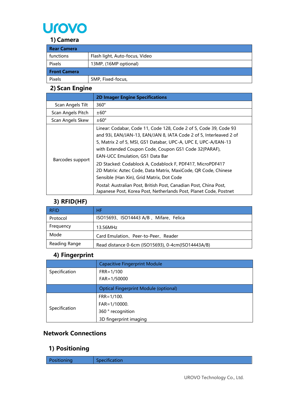

#### **1) Camera**

| <b>Rear Camera</b>  |                                |  |
|---------------------|--------------------------------|--|
| functions           | Flash light, Auto-focus, Video |  |
| Pixels              | 13MP, (16MP optional)          |  |
| <b>Front Camera</b> |                                |  |
| Pixels              | 5MP, Fixed-focus,              |  |

## **2) Scan Engine**

|                   | <b>2D Imager Engine Specifications</b>                                                                                                                                                                                                                                                                                                                                                                                                                                                                                                                                                                                             |
|-------------------|------------------------------------------------------------------------------------------------------------------------------------------------------------------------------------------------------------------------------------------------------------------------------------------------------------------------------------------------------------------------------------------------------------------------------------------------------------------------------------------------------------------------------------------------------------------------------------------------------------------------------------|
| Scan Angels Tilt  | 360°                                                                                                                                                                                                                                                                                                                                                                                                                                                                                                                                                                                                                               |
| Scan Angels Pitch | $±60^{\circ}$                                                                                                                                                                                                                                                                                                                                                                                                                                                                                                                                                                                                                      |
| Scan Angels Skew  | $±60^{\circ}$                                                                                                                                                                                                                                                                                                                                                                                                                                                                                                                                                                                                                      |
| Barcodes support  | Linear: Codabar, Code 11, Code 128, Code 2 of 5, Code 39, Code 93<br>and 93i, EAN/JAN-13, EAN/JAN 8, IATA Code 2 of 5, Interleaved 2 of<br>5, Matrix 2 of 5, MSI, GS1 Databar, UPC-A, UPC E, UPC-A/EAN-13<br>with Extended Coupon Code, Coupon GS1 Code 32(PARAF),<br><b>EAN-UCC Emulation, GS1 Data Bar</b><br>2D Stacked: Codablock A, Codablock F, PDF417, MicroPDF417<br>2D Matrix: Aztec Code, Data Matrix, MaxiCode, QR Code, Chinese<br>Sensible (Han Xin), Grid Matrix, Dot Code<br>Postal: Australian Post, British Post, Canadian Post, China Post,<br>Japanese Post, Korea Post, Netherlands Post, Planet Code, Postnet |

#### **3) RFID(HF)**

| <b>RFID</b>   | НF                                                 |
|---------------|----------------------------------------------------|
| Protocol      | ISO15693、ISO14443 A/B、Mifare、Felica                |
| Frequency     | 13.56MHz                                           |
| Mode          | Card Emulation, Peer-to-Peer, Reader               |
| Reading Range | Read distance 0-6cm (ISO15693), 0-4cm(ISO14443A/B) |

### **4) Fingerprint**

|               | <b>Capacitive Fingerprint Module</b>         |
|---------------|----------------------------------------------|
| Specification | $FRR = 1/100$                                |
|               | FAR=1/50000                                  |
|               | <b>Optical Fingerprint Module (optional)</b> |
|               | $FRR = 1/100.$                               |
|               | FAR=1/10000.                                 |
| Specification | 360 ° recognition                            |
|               | 3D fingerprint imaging                       |

## **Network Connections**

## **1) Positioning**

| Positioning | Specification |
|-------------|---------------|
|             |               |